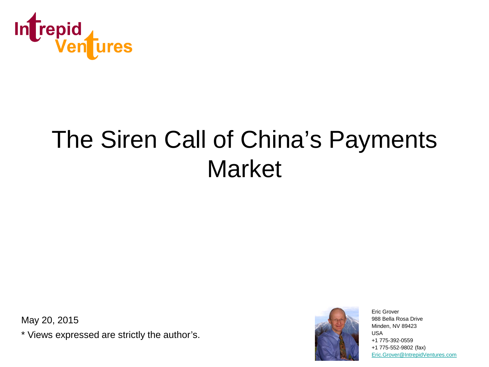

# The Siren Call of China's Payments Market

May 20, 2015

\* Views expressed are strictly the author's.



Eric Grover 988 Bella Rosa Drive Minden, NV 89423 USA +1 775-392-0559 +1 775-552-9802 (fax) [Eric.Grover@IntrepidVentures.com](mailto:Eric.Grover@IntrepidVentures.com)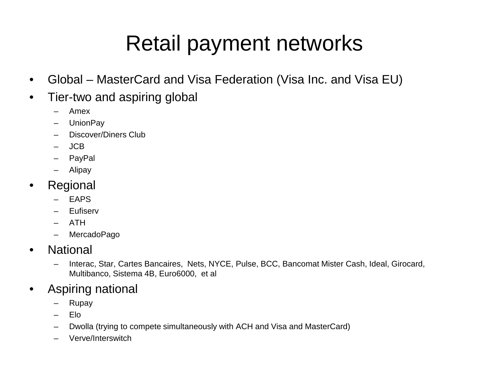#### Retail payment networks

- Global MasterCard and Visa Federation (Visa Inc. and Visa EU)
- Tier-two and aspiring global
	- Amex
	- UnionPay
	- Discover/Diners Club
	- JCB
	- PayPal
	- Alipay
- Regional
	- EAPS
	- Eufiserv
	- ATH
	- MercadoPago
- National
	- Interac, Star, Cartes Bancaires, Nets, NYCE, Pulse, BCC, Bancomat Mister Cash, Ideal, Girocard, Multibanco, Sistema 4B, Euro6000, et al
- Aspiring national
	- Rupay
	- Elo
	- Dwolla (trying to compete simultaneously with ACH and Visa and MasterCard)
	- Verve/Interswitch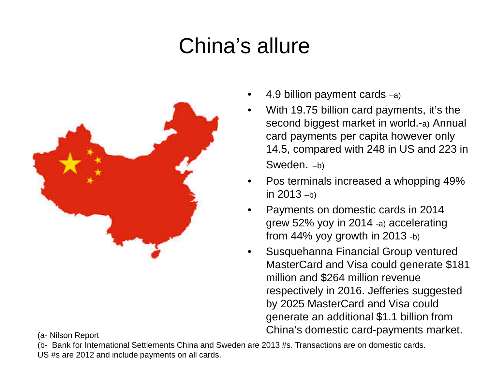## China's allure



- 4.9 billion payment cards  $-a$ )
- With 19.75 billion card payments, it's the second biggest market in world.-a) Annual card payments per capita however only 14.5, compared with 248 in US and 223 in Sweden. –b)
- Pos terminals increased a whopping 49% in  $2013 - b$ )
- Payments on domestic cards in 2014 grew 52% yoy in 2014 -a) accelerating from 44% yoy growth in 2013 -b)
- Susquehanna Financial Group ventured MasterCard and Visa could generate \$181 million and \$264 million revenue respectively in 2016. Jefferies suggested by 2025 MasterCard and Visa could generate an additional \$1.1 billion from China's domestic card-payments market. (a- Nilson Report

(b- Bank for International Settlements China and Sweden are 2013 #s. Transactions are on domestic cards. US #s are 2012 and include payments on all cards.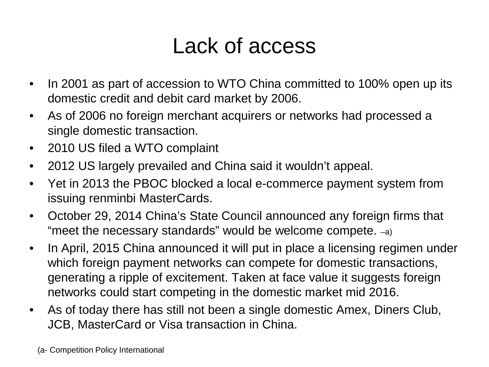#### Lack of access

- In 2001 as part of accession to WTO China committed to 100% open up its domestic credit and debit card market by 2006.
- As of 2006 no foreign merchant acquirers or networks had processed a single domestic transaction.
- 2010 US filed a WTO complaint
- 2012 US largely prevailed and China said it wouldn't appeal.
- Yet in 2013 the PBOC blocked a local e-commerce payment system from issuing renminbi MasterCards.
- October 29, 2014 China's State Council announced any foreign firms that "meet the necessary standards" would be welcome compete. –a)
- In April, 2015 China announced it will put in place a licensing regimen under which foreign payment networks can compete for domestic transactions, generating a ripple of excitement. Taken at face value it suggests foreign networks could start competing in the domestic market mid 2016.
- As of today there has still not been a single domestic Amex, Diners Club, JCB, MasterCard or Visa transaction in China.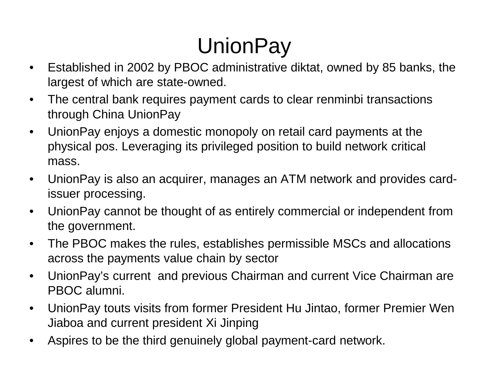# UnionPay

- Established in 2002 by PBOC administrative diktat, owned by 85 banks, the largest of which are state-owned.
- The central bank requires payment cards to clear renminbi transactions through China UnionPay
- UnionPay enjoys a domestic monopoly on retail card payments at the physical pos. Leveraging its privileged position to build network critical mass.
- UnionPay is also an acquirer, manages an ATM network and provides cardissuer processing.
- UnionPay cannot be thought of as entirely commercial or independent from the government.
- The PBOC makes the rules, establishes permissible MSCs and allocations across the payments value chain by sector
- UnionPay's current and previous Chairman and current Vice Chairman are PBOC alumni.
- UnionPay touts visits from former President Hu Jintao, former Premier Wen Jiaboa and current president Xi Jinping
- Aspires to be the third genuinely global payment-card network.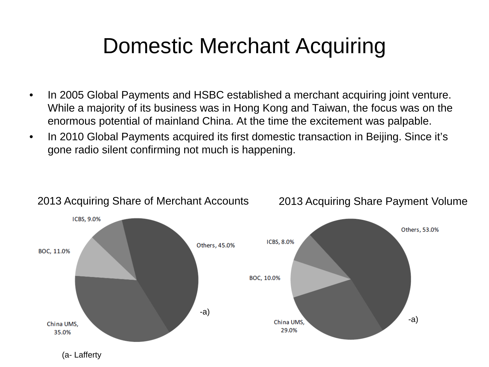#### Domestic Merchant Acquiring

- In 2005 Global Payments and HSBC established a merchant acquiring joint venture. While a majority of its business was in Hong Kong and Taiwan, the focus was on the enormous potential of mainland China. At the time the excitement was palpable.
- In 2010 Global Payments acquired its first domestic transaction in Beijing. Since it's gone radio silent confirming not much is happening.



#### 2013 Acquiring Share of Merchant Accounts 2013 Acquiring Share Payment Volume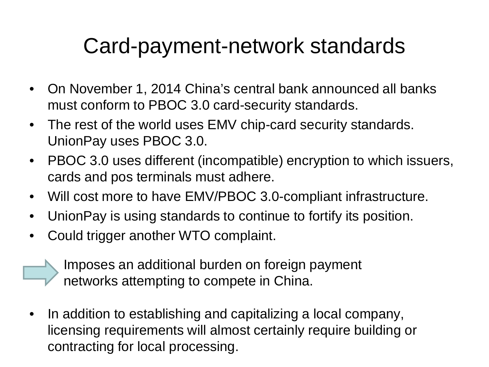#### Card-payment-network standards

- On November 1, 2014 China's central bank announced all banks must conform to PBOC 3.0 card-security standards.
- The rest of the world uses EMV chip-card security standards. UnionPay uses PBOC 3.0.
- PBOC 3.0 uses different (incompatible) encryption to which issuers, cards and pos terminals must adhere.
- Will cost more to have EMV/PBOC 3.0-compliant infrastructure.
- UnionPay is using standards to continue to fortify its position.
- Could trigger another WTO complaint.
	- Imposes an additional burden on foreign payment networks attempting to compete in China.
- In addition to establishing and capitalizing a local company, licensing requirements will almost certainly require building or contracting for local processing.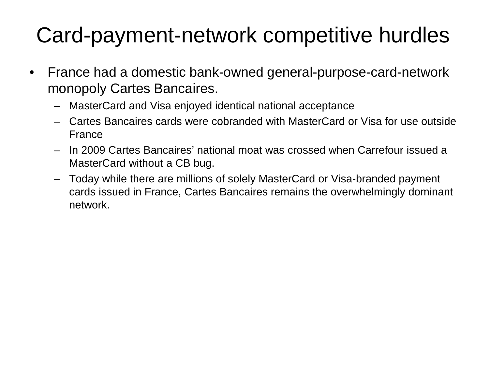## Card-payment-network competitive hurdles

- France had a domestic bank-owned general-purpose-card-network monopoly Cartes Bancaires.
	- MasterCard and Visa enjoyed identical national acceptance
	- Cartes Bancaires cards were cobranded with MasterCard or Visa for use outside France
	- In 2009 Cartes Bancaires' national moat was crossed when Carrefour issued a MasterCard without a CB bug.
	- Today while there are millions of solely MasterCard or Visa-branded payment cards issued in France, Cartes Bancaires remains the overwhelmingly dominant network.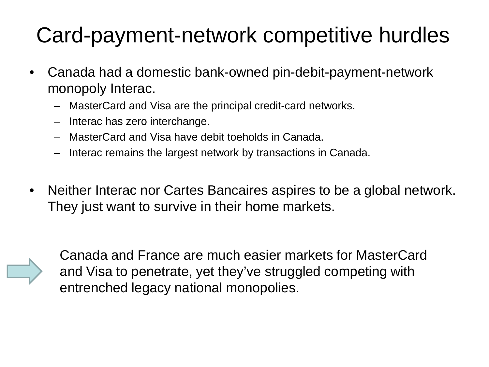## Card-payment-network competitive hurdles

- Canada had a domestic bank-owned pin-debit-payment-network monopoly Interac.
	- MasterCard and Visa are the principal credit-card networks.
	- Interac has zero interchange.
	- MasterCard and Visa have debit toeholds in Canada.
	- Interac remains the largest network by transactions in Canada.
- Neither Interac nor Cartes Bancaires aspires to be a global network. They just want to survive in their home markets.



Canada and France are much easier markets for MasterCard and Visa to penetrate, yet they've struggled competing with entrenched legacy national monopolies.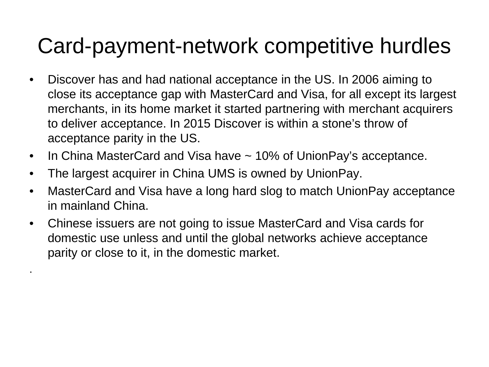#### Card-payment-network competitive hurdles

- Discover has and had national acceptance in the US. In 2006 aiming to close its acceptance gap with MasterCard and Visa, for all except its largest merchants, in its home market it started partnering with merchant acquirers to deliver acceptance. In 2015 Discover is within a stone's throw of acceptance parity in the US.
- In China MasterCard and Visa have ~ 10% of UnionPay's acceptance.
- The largest acquirer in China UMS is owned by UnionPay.

.

- MasterCard and Visa have a long hard slog to match UnionPay acceptance in mainland China.
- Chinese issuers are not going to issue MasterCard and Visa cards for domestic use unless and until the global networks achieve acceptance parity or close to it, in the domestic market.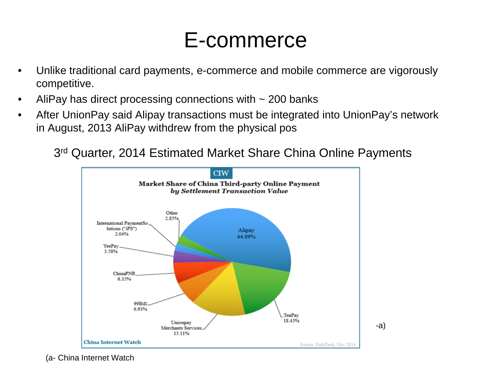#### E-commerce

- Unlike traditional card payments, e-commerce and mobile commerce are vigorously competitive.
- AliPay has direct processing connections with  $\sim$  200 banks
- After UnionPay said Alipay transactions must be integrated into UnionPay's network in August, 2013 AliPay withdrew from the physical pos

3rd Quarter, 2014 Estimated Market Share China Online Payments



(a- China Internet Watch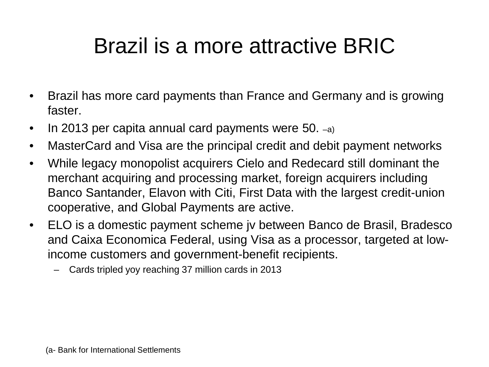#### Brazil is a more attractive BRIC

- Brazil has more card payments than France and Germany and is growing faster.
- In 2013 per capita annual card payments were 50. -a)
- MasterCard and Visa are the principal credit and debit payment networks
- While legacy monopolist acquirers Cielo and Redecard still dominant the merchant acquiring and processing market, foreign acquirers including Banco Santander, Elavon with Citi, First Data with the largest credit-union cooperative, and Global Payments are active.
- ELO is a domestic payment scheme jv between Banco de Brasil, Bradesco and Caixa Economica Federal, using Visa as a processor, targeted at lowincome customers and government-benefit recipients.
	- Cards tripled yoy reaching 37 million cards in 2013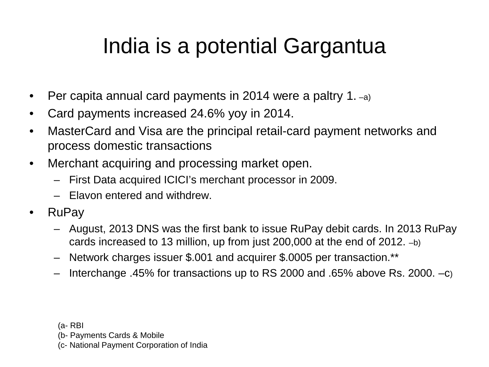#### India is a potential Gargantua

- Per capita annual card payments in 2014 were a paltry 1.  $-a$ )
- Card payments increased 24.6% yoy in 2014.
- MasterCard and Visa are the principal retail-card payment networks and process domestic transactions
- Merchant acquiring and processing market open.
	- First Data acquired ICICI's merchant processor in 2009.
	- Elavon entered and withdrew.
- RuPay
	- August, 2013 DNS was the first bank to issue RuPay debit cards. In 2013 RuPay cards increased to 13 million, up from just 200,000 at the end of 2012. –b)
	- Network charges issuer \$.001 and acquirer \$.0005 per transaction.\*\*
	- Interchange .45% for transactions up to RS 2000 and .65% above Rs. 2000. –c)

(a- RBI

(b- Payments Cards & Mobile

(c- National Payment Corporation of India